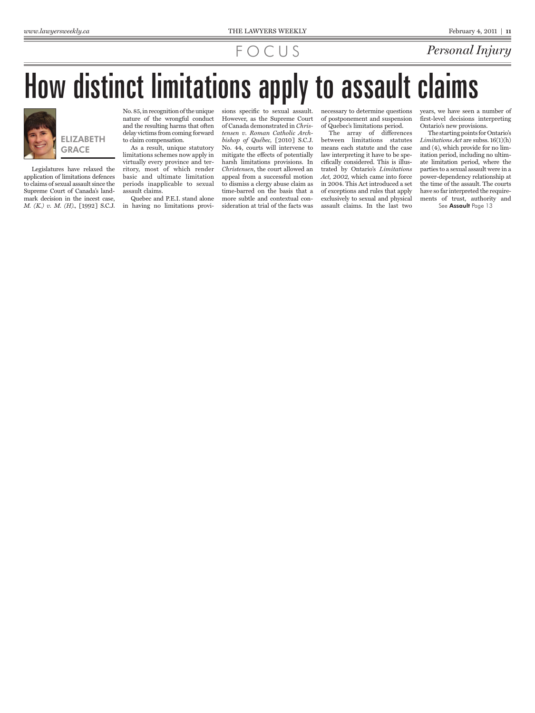### FOCUS *Personal Injury*

# How distinct limitations apply to assault claims



ELIZABETH **GRACE** 

Legislatures have relaxed the application of limitations defences to claims of sexual assault since the Supreme Court of Canada's landmark decision in the incest case, *M. (K.) v. M. (H).,* [1992] S.C.J.

No. 85, in recognition of the unique nature of the wrongful conduct and the resulting harms that often delay victims from coming forward to claim compensation.

As a result, unique statutory limitations schemes now apply in virtually every province and territory, most of which render basic and ultimate limitation periods inapplicable to sexual assault claims.

Quebec and P.E.I. stand alone in having no limitations provisions specific to sexual assault. However, as the Supreme Court of Canada demonstrated in *Christensen v. Roman Catholic Archbishop of Québec,* [2010] S.C.J. No. 44, courts will intervene to mitigate the effects of potentially harsh limitations provisions. In *Christensen*, the court allowed an appeal from a successful motion to dismiss a clergy abuse claim as time-barred on the basis that a more subtle and contextual consideration at trial of the facts was

necessary to determine questions of postponement and suspension of Quebec's limitations period.

The array of differences between limitations statutes means each statute and the case law interpreting it have to be specifically considered. This is illustrated by Ontario's *Limitations Act, 2002,* which came into force in 2004. This Act introduced a set of exceptions and rules that apply exclusively to sexual and physical assault claims. In the last two

years, we have seen a number of first-level decisions interpreting Ontario's new provisions.

The starting points for Ontario's *Limitations Act* are subss. 16(1)(h) and (4), which provide for no limitation period, including no ultimate limitation period, where the parties to a sexual assault were in a power-dependency relationship at the time of the assault. The courts have so far interpreted the requirements of trust, authority and See Assault Page 13